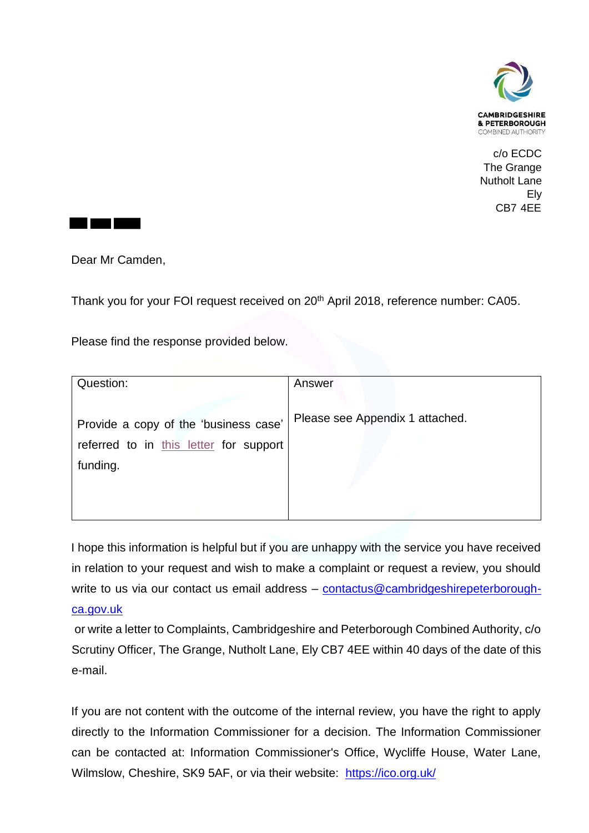

c/o ECDC The Grange Nutholt Lane Ely CB7 4EE



Dear Mr Camden,

Thank you for your FOI request received on 20<sup>th</sup> April 2018, reference number: CA05.

Please find the response provided below.

| Question:                              | Answer                          |
|----------------------------------------|---------------------------------|
|                                        |                                 |
| Provide a copy of the 'business case'  | Please see Appendix 1 attached. |
| referred to in this letter for support |                                 |
| funding.                               |                                 |
|                                        |                                 |
|                                        |                                 |
|                                        |                                 |

I hope this information is helpful but if you are unhappy with the service you have received in relation to your request and wish to make a complaint or request a review, you should write to us via our contact us email address - [contactus@cambridgeshirepeterborough](mailto:contactus@cambridgeshirepeterborough-ca.gov.uk)[ca.gov.uk](mailto:contactus@cambridgeshirepeterborough-ca.gov.uk)

or write a letter to Complaints, Cambridgeshire and Peterborough Combined Authority, c/o Scrutiny Officer, The Grange, Nutholt Lane, Ely CB7 4EE within 40 days of the date of this e-mail.

If you are not content with the outcome of the internal review, you have the right to apply directly to the Information Commissioner for a decision. The Information Commissioner can be contacted at: Information Commissioner's Office, Wycliffe House, Water Lane, Wilmslow, Cheshire, SK9 5AF, or via their website: <https://ico.org.uk/>